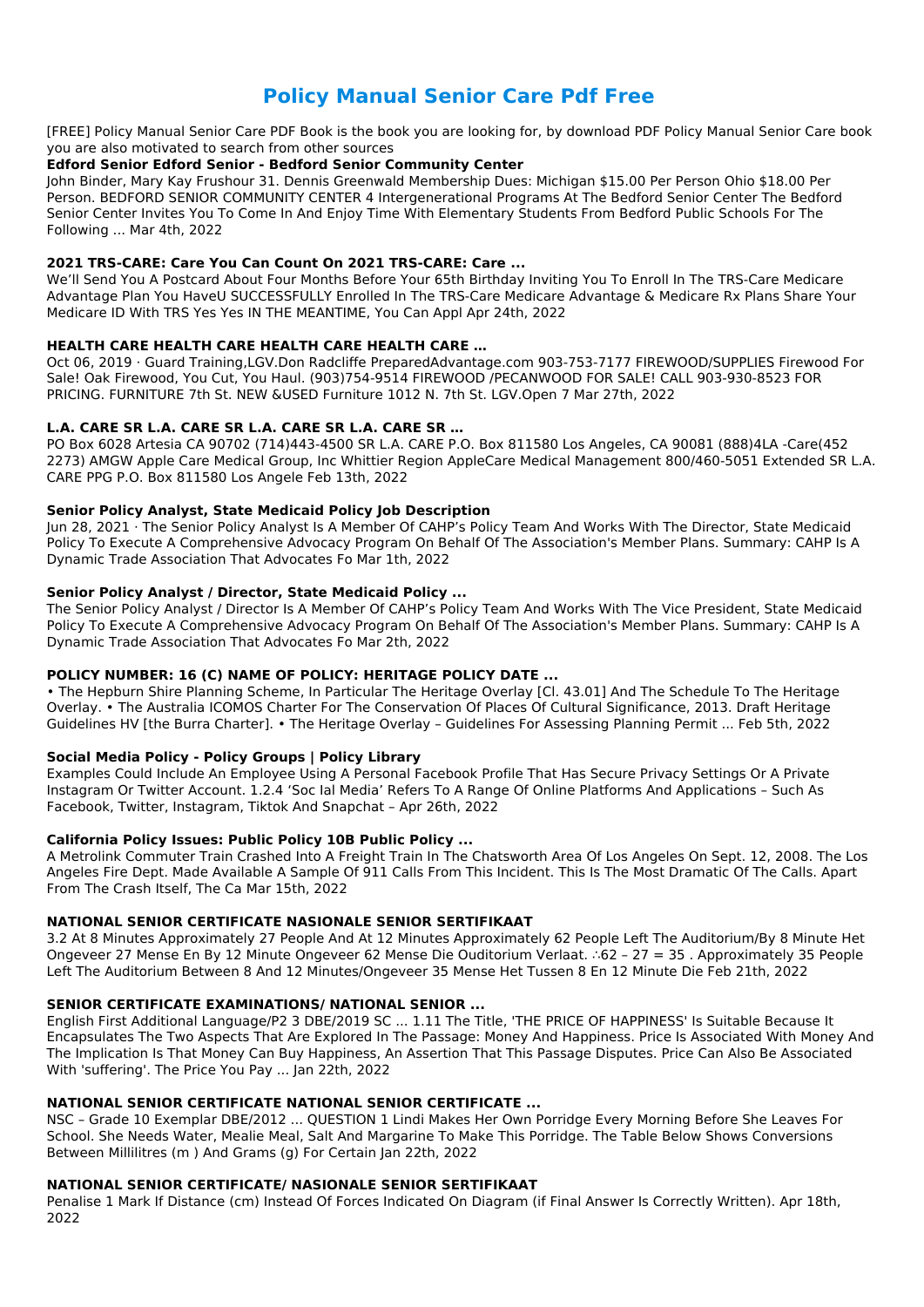# **Policy Manual Senior Care Pdf Free**

[FREE] Policy Manual Senior Care PDF Book is the book you are looking for, by download PDF Policy Manual Senior Care book you are also motivated to search from other sources

#### **Edford Senior Edford Senior - Bedford Senior Community Center**

John Binder, Mary Kay Frushour 31. Dennis Greenwald Membership Dues: Michigan \$15.00 Per Person Ohio \$18.00 Per Person. BEDFORD SENIOR COMMUNITY CENTER 4 Intergenerational Programs At The Bedford Senior Center The Bedford Senior Center Invites You To Come In And Enjoy Time With Elementary Students From Bedford Public Schools For The Following ... Mar 4th, 2022

# **2021 TRS-CARE: Care You Can Count On 2021 TRS-CARE: Care ...**

We'll Send You A Postcard About Four Months Before Your 65th Birthday Inviting You To Enroll In The TRS-Care Medicare Advantage Plan You HaveU SUCCESSFULLY Enrolled In The TRS-Care Medicare Advantage & Medicare Rx Plans Share Your Medicare ID With TRS Yes Yes IN THE MEANTIME, You Can Appl Apr 24th, 2022

# **HEALTH CARE HEALTH CARE HEALTH CARE HEALTH CARE …**

Oct 06, 2019 · Guard Training,LGV.Don Radcliffe PreparedAdvantage.com 903-753-7177 FIREWOOD/SUPPLIES Firewood For Sale! Oak Firewood, You Cut, You Haul. (903)754-9514 FIREWOOD /PECANWOOD FOR SALE! CALL 903-930-8523 FOR PRICING. FURNITURE 7th St. NEW &USED Furniture 1012 N. 7th St. LGV.Open 7 Mar 27th, 2022

# **L.A. CARE SR L.A. CARE SR L.A. CARE SR L.A. CARE SR …**

PO Box 6028 Artesia CA 90702 (714)443-4500 SR L.A. CARE P.O. Box 811580 Los Angeles, CA 90081 (888)4LA -Care(452 2273) AMGW Apple Care Medical Group, Inc Whittier Region AppleCare Medical Management 800/460-5051 Extended SR L.A. CARE PPG P.O. Box 811580 Los Angele Feb 13th, 2022

# **Senior Policy Analyst, State Medicaid Policy Job Description**

Jun 28, 2021 · The Senior Policy Analyst Is A Member Of CAHP's Policy Team And Works With The Director, State Medicaid Policy To Execute A Comprehensive Advocacy Program On Behalf Of The Association's Member Plans. Summary: CAHP Is A Dynamic Trade Association That Advocates Fo Mar 1th, 2022

# **Senior Policy Analyst / Director, State Medicaid Policy ...**

The Senior Policy Analyst / Director Is A Member Of CAHP's Policy Team And Works With The Vice President, State Medicaid Policy To Execute A Comprehensive Advocacy Program On Behalf Of The Association's Member Plans. Summary: CAHP Is A Dynamic Trade Association That Advocates Fo Mar 2th, 2022

# **POLICY NUMBER: 16 (C) NAME OF POLICY: HERITAGE POLICY DATE ...**

• The Hepburn Shire Planning Scheme, In Particular The Heritage Overlay [Cl. 43.01] And The Schedule To The Heritage Overlay. • The Australia ICOMOS Charter For The Conservation Of Places Of Cultural Significance, 2013. Draft Heritage Guidelines HV [the Burra Charter]. • The Heritage Overlay – Guidelines For Assessing Planning Permit ... Feb 5th, 2022

# **Social Media Policy - Policy Groups | Policy Library**

Examples Could Include An Employee Using A Personal Facebook Profile That Has Secure Privacy Settings Or A Private Instagram Or Twitter Account. 1.2.4 'Soc Ial Media' Refers To A Range Of Online Platforms And Applications – Such As Facebook, Twitter, Instagram, Tiktok And Snapchat – Apr 26th, 2022

# **California Policy Issues: Public Policy 10B Public Policy ...**

A Metrolink Commuter Train Crashed Into A Freight Train In The Chatsworth Area Of Los Angeles On Sept. 12, 2008. The Los Angeles Fire Dept. Made Available A Sample Of 911 Calls From This Incident. This Is The Most Dramatic Of The Calls. Apart From The Crash Itself, The Ca Mar 15th, 2022

#### **NATIONAL SENIOR CERTIFICATE NASIONALE SENIOR SERTIFIKAAT**

3.2 At 8 Minutes Approximately 27 People And At 12 Minutes Approximately 62 People Left The Auditorium/By 8 Minute Het Ongeveer 27 Mense En By 12 Minute Ongeveer 62 Mense Die Ouditorium Verlaat. ∴62 – 27 = 35 . Approximately 35 People Left The Auditorium Between 8 And 12 Minutes/Ongeveer 35 Mense Het Tussen 8 En 12 Minute Die Feb 21th, 2022

#### **SENIOR CERTIFICATE EXAMINATIONS/ NATIONAL SENIOR ...**

English First Additional Language/P2 3 DBE/2019 SC ... 1.11 The Title, 'THE PRICE OF HAPPINESS' Is Suitable Because It Encapsulates The Two Aspects That Are Explored In The Passage: Money And Happiness. Price Is Associated With Money And The Implication Is That Money Can Buy Happiness, An Assertion That This Passage Disputes. Price Can Also Be Associated With 'suffering'. The Price You Pay ... Jan 22th, 2022

#### **NATIONAL SENIOR CERTIFICATE NATIONAL SENIOR CERTIFICATE ...**

NSC – Grade 10 Exemplar DBE/2012 ... QUESTION 1 Lindi Makes Her Own Porridge Every Morning Before She Leaves For School. She Needs Water, Mealie Meal, Salt And Margarine To Make This Porridge. The Table Below Shows Conversions Between Millilitres (m ) And Grams (g) For Certain Jan 22th, 2022

#### **NATIONAL SENIOR CERTIFICATE/ NASIONALE SENIOR SERTIFIKAAT**

Penalise 1 Mark If Distance (cm) Instead Of Forces Indicated On Diagram (if Final Answer Is Correctly Written). Apr 18th, 2022